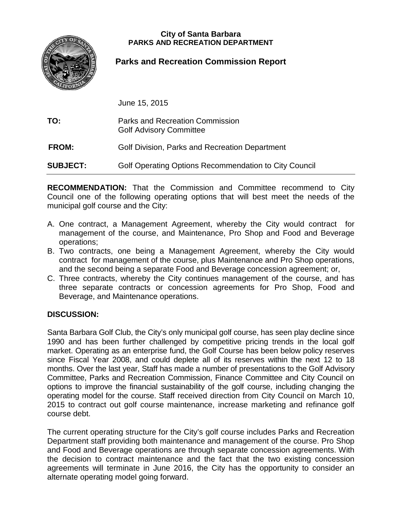### **City of Santa Barbara PARKS AND RECREATION DEPARTMENT**



## **Parks and Recreation Commission Report**

**DATE:** June 15, 2015

| TO:             | Parks and Recreation Commission<br><b>Golf Advisory Committee</b> |
|-----------------|-------------------------------------------------------------------|
| <b>FROM:</b>    | <b>Golf Division, Parks and Recreation Department</b>             |
| <b>SUBJECT:</b> | Golf Operating Options Recommendation to City Council             |

**RECOMMENDATION:** That the Commission and Committee recommend to City Council one of the following operating options that will best meet the needs of the municipal golf course and the City:

- A. One contract, a Management Agreement, whereby the City would contract for management of the course, and Maintenance, Pro Shop and Food and Beverage operations;
- B. Two contracts, one being a Management Agreement, whereby the City would contract for management of the course, plus Maintenance and Pro Shop operations, and the second being a separate Food and Beverage concession agreement; or,
- C. Three contracts, whereby the City continues management of the course, and has three separate contracts or concession agreements for Pro Shop, Food and Beverage, and Maintenance operations.

## **DISCUSSION:**

Santa Barbara Golf Club, the City's only municipal golf course, has seen play decline since 1990 and has been further challenged by competitive pricing trends in the local golf market. Operating as an enterprise fund, the Golf Course has been below policy reserves since Fiscal Year 2008, and could deplete all of its reserves within the next 12 to 18 months. Over the last year, Staff has made a number of presentations to the Golf Advisory Committee, Parks and Recreation Commission, Finance Committee and City Council on options to improve the financial sustainability of the golf course, including changing the operating model for the course. Staff received direction from City Council on March 10, 2015 to contract out golf course maintenance, increase marketing and refinance golf course debt.

The current operating structure for the City's golf course includes Parks and Recreation Department staff providing both maintenance and management of the course. Pro Shop and Food and Beverage operations are through separate concession agreements. With the decision to contract maintenance and the fact that the two existing concession agreements will terminate in June 2016, the City has the opportunity to consider an alternate operating model going forward.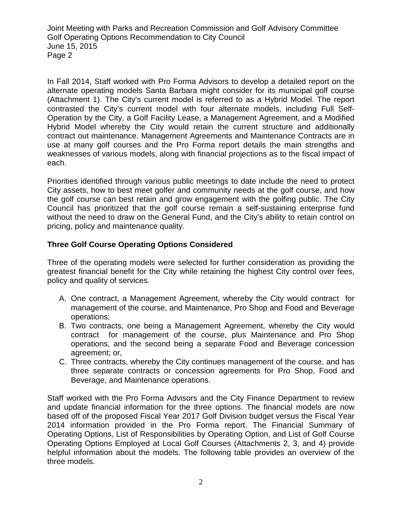In Fall 2014, Staff worked with Pro Forma Advisors to develop a detailed report on the alternate operating models Santa Barbara might consider for its municipal golf course (Attachment 1). The City's current model is referred to as a Hybrid Model. The report contrasted the City's current model with four alternate models, including Full Self-Operation by the City, a Golf Facility Lease, a Management Agreement, and a Modified Hybrid Model whereby the City would retain the current structure and additionally contract out maintenance. Management Agreements and Maintenance Contracts are in use at many golf courses and the Pro Forma report details the main strengths and weaknesses of various models, along with financial projections as to the fiscal impact of each.

Priorities identified through various public meetings to date include the need to protect City assets, how to best meet golfer and community needs at the golf course, and how the golf course can best retain and grow engagement with the golfing public. The City Council has prioritized that the golf course remain a self-sustaining enterprise fund without the need to draw on the General Fund, and the City's ability to retain control on pricing, policy and maintenance quality.

## **Three Golf Course Operating Options Considered**

Three of the operating models were selected for further consideration as providing the greatest financial benefit for the City while retaining the highest City control over fees, policy and quality of services.

- A. One contract, a Management Agreement, whereby the City would contract for management of the course, and Maintenance, Pro Shop and Food and Beverage operations;
- B. Two contracts, one being a Management Agreement, whereby the City would contract for management of the course, plus Maintenance and Pro Shop operations, and the second being a separate Food and Beverage concession agreement; or,
- C. Three contracts, whereby the City continues management of the course, and has three separate contracts or concession agreements for Pro Shop, Food and Beverage, and Maintenance operations.

Staff worked with the Pro Forma Advisors and the City Finance Department to review and update financial information for the three options. The financial models are now based off of the proposed Fiscal Year 2017 Golf Division budget versus the Fiscal Year 2014 information provided in the Pro Forma report. The Financial Summary of Operating Options, List of Responsibilities by Operating Option, and List of Golf Course Operating Options Employed at Local Golf Courses (Attachments 2, 3, and 4) provide helpful information about the models. The following table provides an overview of the three models.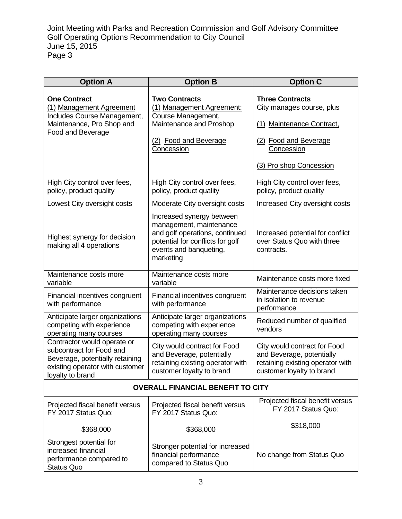| <b>Option A</b>                                                                                                                                   | <b>Option B</b>                                                                                                                                                   | <b>Option C</b>                                                                                                                                           |  |
|---------------------------------------------------------------------------------------------------------------------------------------------------|-------------------------------------------------------------------------------------------------------------------------------------------------------------------|-----------------------------------------------------------------------------------------------------------------------------------------------------------|--|
| <b>One Contract</b><br>(1) Management Agreement<br>Includes Course Management,<br>Maintenance, Pro Shop and<br>Food and Beverage                  | <b>Two Contracts</b><br>(1) Management Agreement:<br>Course Management,<br>Maintenance and Proshop<br>(2) Food and Beverage<br>Concession                         | <b>Three Contracts</b><br>City manages course, plus<br>(1) Maintenance Contract,<br>(2) Food and Beverage<br><b>Concession</b><br>(3) Pro shop Concession |  |
| High City control over fees,<br>policy, product quality                                                                                           | High City control over fees,<br>policy, product quality                                                                                                           | High City control over fees,<br>policy, product quality                                                                                                   |  |
| Lowest City oversight costs                                                                                                                       | Moderate City oversight costs                                                                                                                                     | Increased City oversight costs                                                                                                                            |  |
| Highest synergy for decision<br>making all 4 operations                                                                                           | Increased synergy between<br>management, maintenance<br>and golf operations, continued<br>potential for conflicts for golf<br>events and banqueting,<br>marketing | Increased potential for conflict<br>over Status Quo with three<br>contracts.                                                                              |  |
| Maintenance costs more<br>variable                                                                                                                | Maintenance costs more<br>variable                                                                                                                                | Maintenance costs more fixed                                                                                                                              |  |
| Financial incentives congruent<br>with performance                                                                                                | Financial incentives congruent<br>with performance                                                                                                                | Maintenance decisions taken<br>in isolation to revenue<br>performance                                                                                     |  |
| Anticipate larger organizations<br>competing with experience<br>operating many courses                                                            | Anticipate larger organizations<br>competing with experience<br>operating many courses                                                                            | Reduced number of qualified<br>vendors                                                                                                                    |  |
| Contractor would operate or<br>subcontract for Food and<br>Beverage, potentially retaining<br>existing operator with customer<br>loyalty to brand | City would contract for Food<br>and Beverage, potentially<br>retaining existing operator with<br>customer loyalty to brand                                        | City would contract for Food<br>and Beverage, potentially<br>retaining existing operator with<br>customer loyalty to brand                                |  |
| <b>OVERALL FINANCIAL BENEFIT TO CITY</b>                                                                                                          |                                                                                                                                                                   |                                                                                                                                                           |  |
| Projected fiscal benefit versus<br>FY 2017 Status Quo:                                                                                            | Projected fiscal benefit versus<br>FY 2017 Status Quo:                                                                                                            | Projected fiscal benefit versus<br>FY 2017 Status Quo:                                                                                                    |  |
| \$368,000                                                                                                                                         | \$368,000                                                                                                                                                         | \$318,000                                                                                                                                                 |  |
| Strongest potential for<br>increased financial<br>performance compared to<br><b>Status Quo</b>                                                    | Stronger potential for increased<br>financial performance<br>compared to Status Quo                                                                               | No change from Status Quo                                                                                                                                 |  |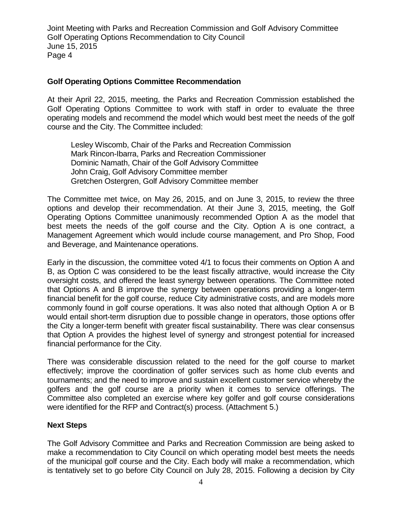### **Golf Operating Options Committee Recommendation**

At their April 22, 2015, meeting, the Parks and Recreation Commission established the Golf Operating Options Committee to work with staff in order to evaluate the three operating models and recommend the model which would best meet the needs of the golf course and the City. The Committee included:

Lesley Wiscomb, Chair of the Parks and Recreation Commission Mark Rincon-Ibarra, Parks and Recreation Commissioner Dominic Namath, Chair of the Golf Advisory Committee John Craig, Golf Advisory Committee member Gretchen Ostergren, Golf Advisory Committee member

The Committee met twice, on May 26, 2015, and on June 3, 2015, to review the three options and develop their recommendation. At their June 3, 2015, meeting, the Golf Operating Options Committee unanimously recommended Option A as the model that best meets the needs of the golf course and the City. Option A is one contract, a Management Agreement which would include course management, and Pro Shop, Food and Beverage, and Maintenance operations.

Early in the discussion, the committee voted 4/1 to focus their comments on Option A and B, as Option C was considered to be the least fiscally attractive, would increase the City oversight costs, and offered the least synergy between operations. The Committee noted that Options A and B improve the synergy between operations providing a longer-term financial benefit for the golf course, reduce City administrative costs, and are models more commonly found in golf course operations. It was also noted that although Option A or B would entail short-term disruption due to possible change in operators, those options offer the City a longer-term benefit with greater fiscal sustainability. There was clear consensus that Option A provides the highest level of synergy and strongest potential for increased financial performance for the City.

There was considerable discussion related to the need for the golf course to market effectively; improve the coordination of golfer services such as home club events and tournaments; and the need to improve and sustain excellent customer service whereby the golfers and the golf course are a priority when it comes to service offerings. The Committee also completed an exercise where key golfer and golf course considerations were identified for the RFP and Contract(s) process. (Attachment 5.)

## **Next Steps**

The Golf Advisory Committee and Parks and Recreation Commission are being asked to make a recommendation to City Council on which operating model best meets the needs of the municipal golf course and the City. Each body will make a recommendation, which is tentatively set to go before City Council on July 28, 2015. Following a decision by City